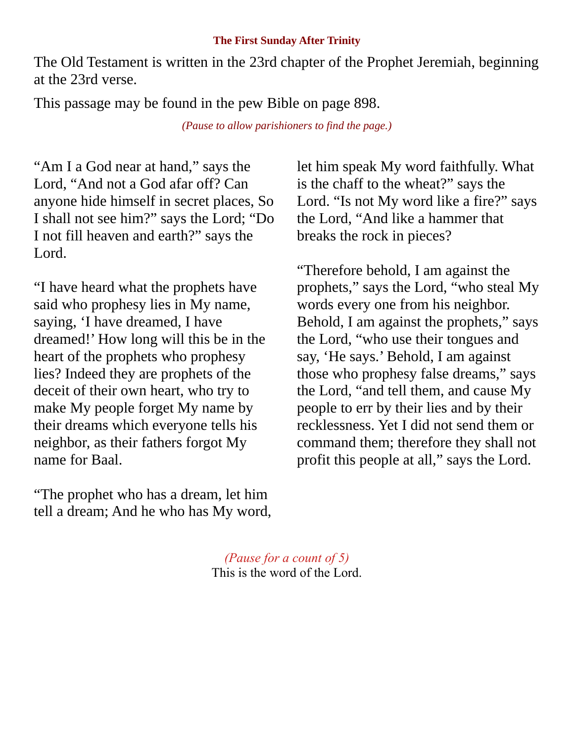## **The First Sunday After Trinity**

The Old Testament is written in the 23rd chapter of the Prophet Jeremiah, beginning at the 23rd verse.

This passage may be found in the pew Bible on page 898.

*(Pause to allow parishioners to find the page.)*

"Am I a God near at hand," says the Lord, "And not a God afar off? Can anyone hide himself in secret places, So I shall not see him?" says the Lord; "Do I not fill heaven and earth?" says the Lord.

"I have heard what the prophets have said who prophesy lies in My name, saying, 'I have dreamed, I have dreamed!' How long will this be in the heart of the prophets who prophesy lies? Indeed they are prophets of the deceit of their own heart, who try to make My people forget My name by their dreams which everyone tells his neighbor, as their fathers forgot My name for Baal.

"The prophet who has a dream, let him tell a dream; And he who has My word, let him speak My word faithfully. What is the chaff to the wheat?" says the Lord. "Is not My word like a fire?" says the Lord, "And like a hammer that breaks the rock in pieces?

"Therefore behold, I am against the prophets," says the Lord, "who steal My words every one from his neighbor. Behold, I am against the prophets," says the Lord, "who use their tongues and say, 'He says.' Behold, I am against those who prophesy false dreams," says the Lord, "and tell them, and cause My people to err by their lies and by their recklessness. Yet I did not send them or command them; therefore they shall not profit this people at all," says the Lord.

*(Pause for a count of 5)* This is the word of the Lord.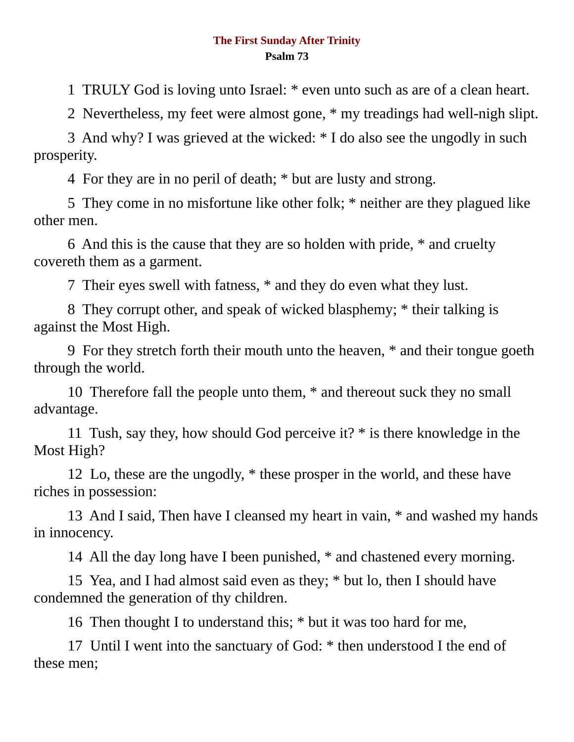## **The First Sunday After Trinity Psalm 73**

1 TRULY God is loving unto Israel: \* even unto such as are of a clean heart.

2 Nevertheless, my feet were almost gone, \* my treadings had well-nigh slipt.

3 And why? I was grieved at the wicked: \* I do also see the ungodly in such prosperity.

4 For they are in no peril of death; \* but are lusty and strong.

5 They come in no misfortune like other folk; \* neither are they plagued like other men.

6 And this is the cause that they are so holden with pride, \* and cruelty covereth them as a garment.

7 Their eyes swell with fatness, \* and they do even what they lust.

8 They corrupt other, and speak of wicked blasphemy; \* their talking is against the Most High.

9 For they stretch forth their mouth unto the heaven, \* and their tongue goeth through the world.

10 Therefore fall the people unto them, \* and thereout suck they no small advantage.

11 Tush, say they, how should God perceive it? \* is there knowledge in the Most High?

12 Lo, these are the ungodly, \* these prosper in the world, and these have riches in possession:

13 And I said, Then have I cleansed my heart in vain, \* and washed my hands in innocency.

14 All the day long have I been punished, \* and chastened every morning.

15 Yea, and I had almost said even as they; \* but lo, then I should have condemned the generation of thy children.

16 Then thought I to understand this; \* but it was too hard for me,

17 Until I went into the sanctuary of God: \* then understood I the end of these men;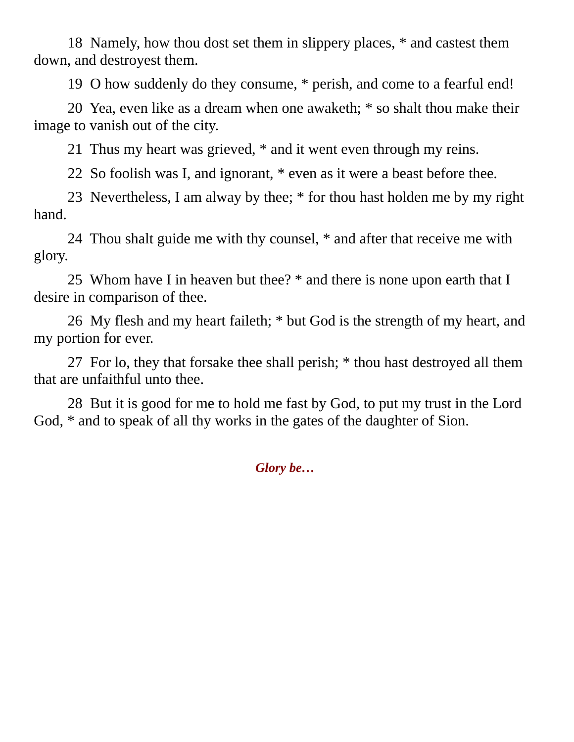18 Namely, how thou dost set them in slippery places, \* and castest them down, and destroyest them.

19 O how suddenly do they consume, \* perish, and come to a fearful end!

20 Yea, even like as a dream when one awaketh; \* so shalt thou make their image to vanish out of the city.

21 Thus my heart was grieved, \* and it went even through my reins.

22 So foolish was I, and ignorant, \* even as it were a beast before thee.

23 Nevertheless, I am alway by thee; \* for thou hast holden me by my right hand.

24 Thou shalt guide me with thy counsel, \* and after that receive me with glory.

25 Whom have I in heaven but thee? \* and there is none upon earth that I desire in comparison of thee.

26 My flesh and my heart faileth; \* but God is the strength of my heart, and my portion for ever.

27 For lo, they that forsake thee shall perish; \* thou hast destroyed all them that are unfaithful unto thee.

28 But it is good for me to hold me fast by God, to put my trust in the Lord God, \* and to speak of all thy works in the gates of the daughter of Sion.

*Glory be…*